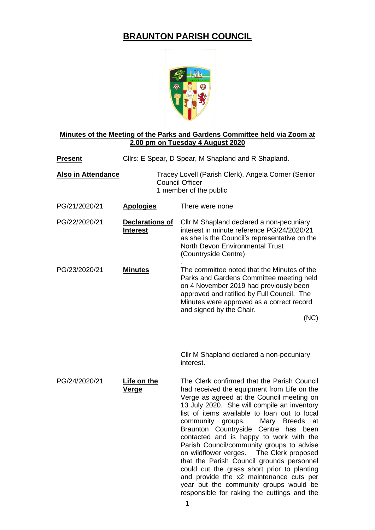## **BRAUNTON PARISH COUNCIL**



## **Minutes of the Meeting of the Parks and Gardens Committee held via Zoom at 2.00 pm on Tuesday 4 August 2020**

| <b>Present</b>            | Cllrs: E Spear, D Spear, M Shapland and R Shapland.                                                     |                                                                                                                                                                                                                                                                                                                                                                                                                                                                                                                                                                                                                                                                                                            |
|---------------------------|---------------------------------------------------------------------------------------------------------|------------------------------------------------------------------------------------------------------------------------------------------------------------------------------------------------------------------------------------------------------------------------------------------------------------------------------------------------------------------------------------------------------------------------------------------------------------------------------------------------------------------------------------------------------------------------------------------------------------------------------------------------------------------------------------------------------------|
| <b>Also in Attendance</b> | Tracey Lovell (Parish Clerk), Angela Corner (Senior<br><b>Council Officer</b><br>1 member of the public |                                                                                                                                                                                                                                                                                                                                                                                                                                                                                                                                                                                                                                                                                                            |
| PG/21/2020/21             | <b>Apologies</b>                                                                                        | There were none                                                                                                                                                                                                                                                                                                                                                                                                                                                                                                                                                                                                                                                                                            |
| PG/22/2020/21             | <b>Declarations of</b><br><b>Interest</b>                                                               | Cllr M Shapland declared a non-pecuniary<br>interest in minute reference PG/24/2020/21<br>as she is the Council's representative on the<br>North Devon Environmental Trust<br>(Countryside Centre)                                                                                                                                                                                                                                                                                                                                                                                                                                                                                                         |
| PG/23/2020/21             | <b>Minutes</b>                                                                                          | The committee noted that the Minutes of the<br>Parks and Gardens Committee meeting held<br>on 4 November 2019 had previously been<br>approved and ratified by Full Council. The<br>Minutes were approved as a correct record<br>and signed by the Chair.<br>(NC)                                                                                                                                                                                                                                                                                                                                                                                                                                           |
|                           |                                                                                                         | Cllr M Shapland declared a non-pecuniary<br>interest.                                                                                                                                                                                                                                                                                                                                                                                                                                                                                                                                                                                                                                                      |
| PG/24/2020/21             | Life on the<br><u>Verge</u>                                                                             | The Clerk confirmed that the Parish Council<br>had received the equipment from Life on the<br>Verge as agreed at the Council meeting on<br>13 July 2020. She will compile an inventory<br>list of items available to loan out to local<br>community<br>groups.<br><b>Breeds</b><br>Mary<br>at<br>Braunton Countryside Centre has been<br>contacted and is happy to work with the<br>Parish Council/community groups to advise<br>on wildflower verges.  The Clerk proposed<br>that the Parish Council grounds personnel<br>could cut the grass short prior to planting<br>and provide the x2 maintenance cuts per<br>year but the community groups would be<br>responsible for raking the cuttings and the |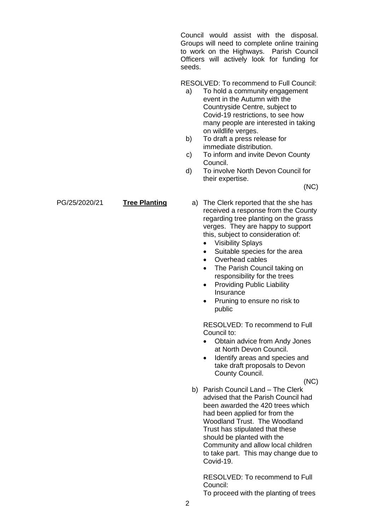Council would assist with the disposal. Groups will need to complete online training to work on the Highways. Parish Council Officers will actively look for funding for seeds.

RESOLVED: To recommend to Full Council:

- a) To hold a community engagement event in the Autumn with the Countryside Centre, subject to Covid-19 restrictions, to see how many people are interested in taking on wildlife verges.
- b) To draft a press release for immediate distribution.
- c) To inform and invite Devon County Council.
- d) To involve North Devon Council for their expertise.

(NC)

- PG/25/2020/21 **Tree Planting** a) The Clerk reported that the she has received a response from the County regarding tree planting on the grass verges. They are happy to support this, subject to consideration of:
	- Visibility Splays
	- Suitable species for the area
	- Overhead cables
	- The Parish Council taking on responsibility for the trees
	- Providing Public Liability Insurance
	- Pruning to ensure no risk to public

RESOLVED: To recommend to Full Council to:

- Obtain advice from Andy Jones at North Devon Council.
- Identify areas and species and take draft proposals to Devon County Council.

(NC)

b) Parish Council Land – The Clerk advised that the Parish Council had been awarded the 420 trees which had been applied for from the Woodland Trust. The Woodland Trust has stipulated that these should be planted with the Community and allow local children to take part. This may change due to Covid-19.

RESOLVED: To recommend to Full Council:

To proceed with the planting of trees